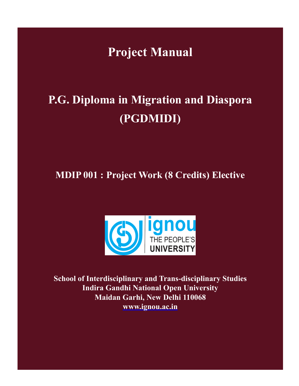**Project Manual**

# **P.G. Diploma in Migration and Diaspora (PGDMIDI)**

**MDIP 001 : Project Work (8 Credits) Elective**



**School of Interdisciplinary and Trans-disciplinary Studies Indira Gandhi National Open University Maidan Garhi, New Delhi 110068 www.ignou.ac.in**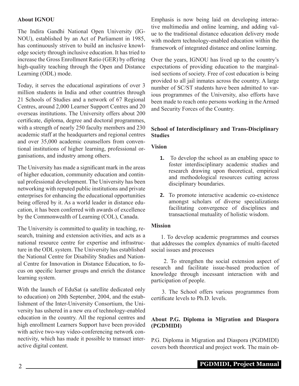## **About IGNOU**

The Indira Gandhi National Open University (IG-NOU), established by an Act of Parliament in 1985, has continuously striven to build an inclusive knowledge society through inclusive education. It has tried to increase the Gross Enrollment Ratio (GER) by offering high-quality teaching through the Open and Distance Learning (ODL) mode.

Today, it serves the educational aspirations of over 3 million students in India and other countries through 21 Schools of Studies and a network of 67 Regional Centres, around 2,000 Learner Support Centres and 20 overseas institutions. The University offers about 200 certificate, diploma, degree and doctoral programmes, with a strength of nearly 250 faculty members and 230 academic staff at the headquarters and regional centres and over 35,000 academic counsellors from conventional institutions of higher learning, professional organisations, and industry among others.

The University has made a significant mark in the areas of higher education, community education and continual professional development. The University has been networking with reputed public institutions and private enterprises for enhancing the educational opportunities being offered by it. As a world leader in distance education, it has been conferred with awards of excellence by the Commonwealth of Learning (COL), Canada.

The University is committed to quality in teaching, research, training and extension activities, and acts as a national resource centre for expertise and infrastructure in the ODL system. The University has established the National Centre for Disability Studies and National Centre for Innovation in Distance Education, to focus on specific learner groups and enrich the distance learning system.

With the launch of EduSat (a satellite dedicated only to education) on 20th September, 2004, and the establishment of the Inter-University Consortium, the University has ushered in a new era of technology-enabled education in the country. All the regional centres and high enrollment Learners Support have been provided with active two-way video-conferencing network connectivity, which has made it possible to transact interactive digital content.

Emphasis is now being laid on developing interactive multimedia and online learning, and adding value to the traditional distance education delivery mode with modern technology-enabled education within the framework of integrated distance and online learning.

Over the years, IGNOU has lived up to the country's expectations of providing education to the marginalised sections of society. Free of cost education is being provided to all jail inmates across the country. A large number of SC/ST students have been admitted to various programmes of the University, also efforts have been made to reach onto persons working in the Armed and Security Forces of the Country.

## **School of Interdisciplinary and Trans-Disciplinary Studies**

**Vision**

- **1.** To develop the school as an enabling space to foster interdisciplinary academic studies and research drawing upon theoretical, empirical and methodological resources cutting across disciplinary boundaries.
- **2.** To promote interactive academic co-existence amongst scholars of diverse specializations facilitating convergence of disciplines and transactional mutuality of holistic wisdom.

#### **Mission**

1. To develop academic programmes and courses that addresses the complex dynamics of multi-faceted social issues and processes

 2. To strengthen the social extension aspect of research and facilitate issue-based production of knowledge through incessant interaction with and participation of people.

 3. The School offers various programmes from certificate levels to Ph.D. levels.

## **About P.G. Diploma in Migration and Diaspora (PGDMIDI)**

P.G. Diploma in Migration and Diaspora (PGDMIDI) covers both theoretical and project work. The main ob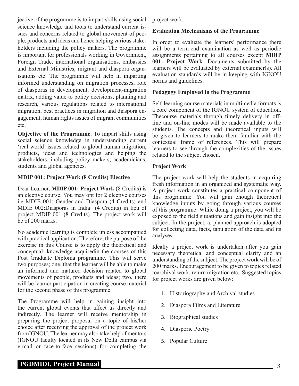jective of the programme is to impart skills using social science knowledge and tools to understand current issues and concerns related to global movement of people, products and ideas and hence helping various stakeholders including the policy makers. The programme is important for professionals working in Government, Foreign Trade, international organisations, embassies and External Ministries, migrant and diaspora organisations etc. The programme will help in imparting informed understanding on migration processes, role of diasporas in development, development-migration matrix, adding value to policy decisions, planning and research, various regulations related to international migration, best practices in migration and diaspora engagement, human rights issues of migrant communities etc.

**Objective of the Programme**: To impart skills using social science knowledge in understanding current 'real world' issues related to global human migration, products, ideas and technologies and helping the stakeholders, including policy makers, academicians, students and global agencies.

## **MDIP 001: Project Work (8 Credits) Elective**

Dear Learner, **MDIP 001: Project Work** (8 Credits) is an elective course. You may opt for 2 elective courses i.e MDIE 001: Gender and Diaspora (4 Credits) and MDIE 002:Diasporas in India (4 Credits) in lieu of project MDIP-001 (8 Credits). The project work will be of 200 marks.

No academic learning is complete unless accompanied with practical application. Therefore, the purpose of the exercise in this Course is to apply the theoretical and conceptual; knowledge acquiredin the courses of this Post Graduate Diploma programme. This will serve two purposes; one, that the learner will be able to make an informed and matured decision related to global movements of people, products and ideas; two, there will be learner participation in creating course material for the second phase of this programme.

The Programme will help in gaining insight into the current global events that affect us directly and indirectly. The learner will receive mentorship in preparing the project proposal on a topic of his/her choice after receiving the approval of the project work fromIGNOU. The learner may also take help of mentors (IGNOU faculty located in its New Delhi campus via e-mail or face-to-face sessions) for completing the

project work.

## **Evaluation Mechanisms of the Programme**

In order to evaluate the learners' performance there will be a term-end examination as well as periodic assignments pertaining to all courses except **MDIP 001: Project Work**. Documents submitted by the learners will be evaluated by external examiner(s). All evaluation standards will be in keeping with IGNOU norms and guidelines.

## **Pedagogy Employed in the Programme**

Self-learning course materials in multimedia formats is a core component of the IGNOU system of education. Thecourse materials through timely delivery in offline and on-line modes will be made available to the students. The concepts and theoretical inputs will be given to learners to make them familiar with the contextual frame of references. This will prepare learners to see through the complexities of the issues related to the subject chosen.

## **Project Work**

The project work will help the students in acquiring fresh information in an organized and systematic way. A project work constitutes a practical component of this programme. You will gain enough theoretical knowledge inputs by going through various courses of this programme. While doing a project, you will be exposed to the field situations and gain insight into the subject. In the project, a, planned approach is adopted for collecting data, facts, tabulation of the data and its analyses.

Ideally a project work is undertaken after you gain necessary theoretical and conceptual clarity and an understanding of the subject. The project work will be of 200 marks. Encouragement to be given to topics related toarchival work, return migration etc. Suggested topics for project works are given below:

- 1. Historiography and Archival studies
- 2. Diaspora Films and Literature
- 3. Biographical studies
- 4. Diasporic Poetry
- 5. Popular Culture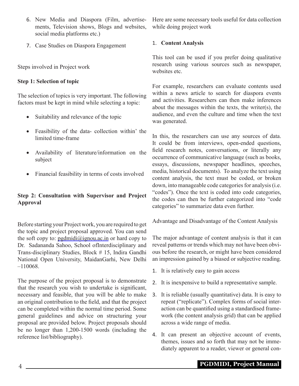- 6. New Media and Diaspora (Film, advertisements, Television shows, Blogs and websites, social media platforms etc.)
- 7. Case Studies on Diaspora Engagement

Steps involved in Project work

## **Step 1: Selection of topic**

The selection of topics is very important. The following factors must be kept in mind while selecting a topic:

- Suitability and relevance of the topic
- Feasibility of the data- collection within' the limited time-frame
- • Availability of literature/information on the subject
- • Financial feasibility in terms of costs involved

## **Step 2: Consultation with Supervisor and Project Approval**

Before starting your Project work, you are required to get the topic and project proposal approved. You can send the soft copy to:  $pgdmid(\partial_i)$ ignou.ac.in or hard copy to Dr. Sadananda Sahoo, School ofInterdisciplinary and Trans-disciplinary Studies, Block # 15, Indira Gandhi National Open University, MaidanGarhi, New Delhi –110068.

The purpose of the project proposal is to demonstrate that the research you wish to undertake is significant, necessary and feasible, that you will be able to make an original contribution to the field, and that the project can be completed within the normal time period. Some general guidelines and advice on structuring your proposal are provided below. Project proposals should be no longer than 1,200-1500 words (including the reference list/bibliography).

Here are some necessary tools useful for data collection while doing project work

## 1. **Content Analysis**

This tool can be used if you prefer doing qualitative research using various sources such as newspaper, websites etc.

For example, researchers can evaluate contents used within a news article to search for diaspora events and activities. Researchers can then make inferences about the messages within the texts, the writer(s), the audience, and even the culture and time when the text was generated.

In this, the researchers can use any sources of data. It could be from interviews, open-ended questions, field research notes, conversations, or literally any occurrence of communicative language (such as books, essays, discussions, newspaper headlines, speeches, media, historical documents). To analyze the text using content analysis, the text must be coded, or broken down, into manageable code categories for analysis (i.e. "codes"). Once the text is coded into code categories, the codes can then be further categorized into "code categories" to summarize data even further.

Advantage and Disadvantage of the Content Analysis

The major advantage of content analysis is that it can reveal patterns or trends which may not have been obvious before the research, or might have been considered an impression gained by a biased or subjective reading.

- 1. It is relatively easy to gain access
- 2. It is inexpensive to build a representative sample.
- 3. It is reliable (usually quantitative) data. It is easy to repeat ("replicate"). Complex forms of social interaction can be quantified using a standardised framework (the content analysis grid) that can be applied across a wide range of media.
- 4. It can present an objective account of events, themes, issues and so forth that may not be immediately apparent to a reader, viewer or general con-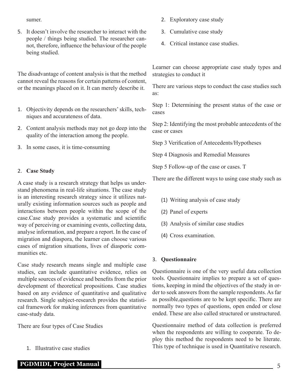sumer.

5. It doesn't involve the researcher to interact with the people / things being studied. The researcher cannot, therefore, influence the behaviour of the people being studied.

The disadvantage of content analysis is that the method cannot reveal the reasons for certain patterns of content, or the meanings placed on it. It can merely describe it.

- 1. Objectivity depends on the researchers' skills, techniques and accurateness of data.
- 2. Content analysis methods may not go deep into the quality of the interaction among the people.
- 3. In some cases, it is time-consuming

## 2. **Case Study**

A case study is a research strategy that helps us understand phenomena in real-life situations. The case study is an interesting research strategy since it utilizes naturally existing information sources such as people and interactions between people within the scope of the case.Case study provides a systematic and scientific way of perceiving or examining events, collecting data, analyse information, and prepare a report. In the case of migration and diaspora, the learner can choose various cases of migration situations, lives of diasporic communities etc.

Case study research means single and multiple case studies, can include quantitative evidence, relies on multiple sources of evidence and benefits from the prior development of theoretical propositions. Case studies based on any evidence of quantitative and qualitative research. Single subject-research provides the statistical framework for making inferences from quantitative case-study data.

There are four types of Case Studies

1. Illustrative case studies

- 2. Exploratory case study
- 3. Cumulative case study
- 4. Critical instance case studies.

Learner can choose appropriate case study types and strategies to conduct it

There are various steps to conduct the case studies such as:

Step 1: Determining the present status of the case or cases

Step 2: Identifying the most probable antecedents of the case or cases

Step 3 Verification of Antecedents/Hypotheses

Step 4 Diagnosis and Remedial Measures

Step 5 Follow-up of the case or cases. T

There are the different ways to using case study such as

- (1) Writing analysis of case study
- (2) Panel of experts
- (3) Analysis of similar case studies
- (4) Cross examination.

## 3. **Questionnaire**

Questionnaire is one of the very useful data collection tools. Questionnaire implies to prepare a set of questions, keeping in mind the objectives of the study in order to seek answers from the sample respondents. As far as possible,questions are to be kept specific. There are normally two types of questions, open ended or close ended. These are also called structured or unstructured.

Questionnaire method of data collection is preferred when the respondents are willing to cooperate. To deploy this method the respondents need to be literate. This type of technique is used in Quantitative research.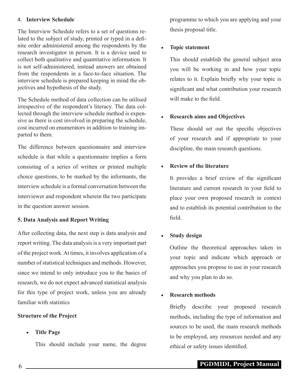#### 4. **Interview Schedule**

The Interview Schedule refers to a set of questions related to the subject of study, printed or typed in a definite order administered among the respondents by the research investigator in person. It is a device used to collect both qualitative and quantitative information. It is not self-administered, instead answers are obtained from the respondents in a face-to-face situation. The interview schedule is prepared keeping in mind the objectives and hypothesis of the study.

The Schedule method of data collection can be utilised irrespective of the respondent's literacy. The data collected through the interview schedule method is expensive as there is cost involved in preparing the schedule, cost incurred on enumerators in addition to training imparted to them.

The difference between questionnaire and interview schedule is that while a questionnaire implies a form consisting of a series of written or printed multiple choice questions, to be marked by the informants, the interview schedule is a formal conversation between the interviewer and respondent wherein the two participate in the question answer session.

## **5. Data Analysis and Report Writing**

After collecting data, the next step is data analysis and report writing. The data analysis is a very important part of the project work. At times, it involves application of a number of statistical techniques and methods. However, since we intend to only introduce you to the basics of research, we do not expect advanced statistical analysis for this type of project work, unless you are already familiar with statistics

## **Structure of the Project**

## **Title Page**

This should include your name, the degree

programme to which you are applying and your thesis proposal title.

## • **Topic statement**

This should establish the general subject area you will be working in and how your topic relates to it. Explain briefly why your topic is significant and what contribution your research will make to the field.

## • **Research aims and Objectives**

These should set out the specific objectives of your research and if appropriate to your discipline, the main research questions.

## **Review of the literature**

It provides a brief review of the significant literature and current research in your field to place your own proposed research in context and to establish its potential contribution to the field.

## • **Study design**

Outline the theoretical approaches taken in your topic and indicate which approach or approaches you propose to use in your research and why you plan to do so.

## **Research methods**

Briefly describe your proposed research methods, including the type of information and sources to be used, the main research methods to be employed, any resources needed and any ethical or safety issues identified.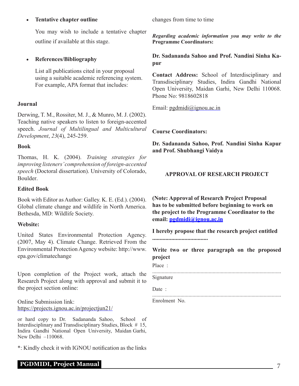#### **Tentative chapter outline**

You may wish to include a tentative chapter outline if available at this stage.

## • **References/Bibliography**

List all publications cited in your proposal using a suitable academic referencing system. For example, APA format that includes:

## **Journal**

Derwing, T. M., Rossiter, M. J., & Munro, M. J. (2002). Teaching native speakers to listen to foreign-accented speech. *Journal of Multilingual and Multicultural Development*, *23*(4), 245-259.

#### **Book**

Thomas, H. K. (2004). *Training strategies for improving listeners' comprehension of foreign-accented speech* (Doctoral dissertation). University of Colorado, Boulder.

#### **Edited Book**

Book with Editor as Author: Galley. K. E. (Ed.). (2004). Global climate change and wildlife in North America. Bethesda, MD: Wildlife Society.

## **Website:**

United States Environmental Protection Agency. (2007, May 4). Climate Change. Retrieved From the Environmental Protection Agency website: http://www. epa.gov/climatechange

Upon completion of the Project work, attach the Research Project along with approval and submit it to the project section online:

Online Submission link: https://projects.ignou.ac.in/projectjun21/

or hard copy to Dr. Sadananda Sahoo, School of Interdisciplinary and Transdisciplinary Studies, Block # 15, Indira Gandhi National Open University, Maidan Garhi, New Delhi –110068.

\*: Kindly check it with IGNOU notification as the links

## **PGDMIDI, Project Manual** 7

changes from time to time

*Regarding academic information you may write to the*  **Programme Coordinators:**

**Dr. Sadananda Sahoo and Prof. Nandini Sinha Kapur**

**Contact Address:** School of Interdisciplinary and Transdisciplinary Studies, Indira Gandhi National Open University, Maidan Garhi, New Delhi 110068. Phone No: 9818602818

Email: pgdmidi@ignou.ac.in

**Course Coordinators:**

**Dr. Sadananda Sahoo, Prof. Nandini Sinha Kapur and Prof. Shubhangi Vaidya**

## **APPROVAL OF RESEARCH PROJECT**

**(Note: Approval of Research Project Proposal has to be submitted before beginning to work on the project to the Programme Coordinator to the email: pgdmidi@ignou.ac.in**

**I hereby propose that the research project entitled ......................................**

**Write two or three paragraph on the proposed project**

Place · ................................................................................................

Signature

Date :

................................................................................................

Enrolment No.